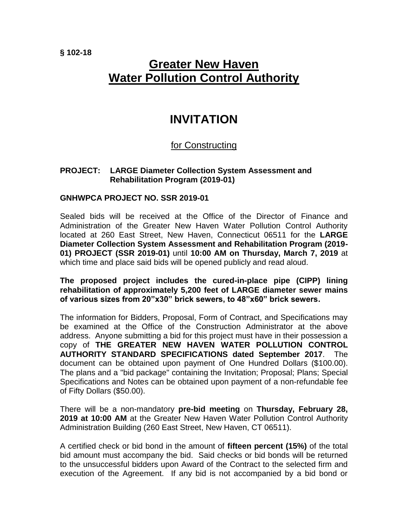**§ 102-18**

# **Greater New Haven Water Pollution Control Authority**

## **INVITATION**

### for Constructing

#### **PROJECT: LARGE Diameter Collection System Assessment and Rehabilitation Program (2019-01)**

#### **GNHWPCA PROJECT NO. SSR 2019-01**

Sealed bids will be received at the Office of the Director of Finance and Administration of the Greater New Haven Water Pollution Control Authority located at 260 East Street, New Haven, Connecticut 06511 for the **LARGE Diameter Collection System Assessment and Rehabilitation Program (2019- 01) PROJECT (SSR 2019-01)** until **10:00 AM on Thursday, March 7, 2019** at which time and place said bids will be opened publicly and read aloud.

#### **The proposed project includes the cured-in-place pipe (CIPP) lining rehabilitation of approximately 5,200 feet of LARGE diameter sewer mains of various sizes from 20"x30" brick sewers, to 48"x60" brick sewers.**

The information for Bidders, Proposal, Form of Contract, and Specifications may be examined at the Office of the Construction Administrator at the above address. Anyone submitting a bid for this project must have in their possession a copy of **THE GREATER NEW HAVEN WATER POLLUTION CONTROL AUTHORITY STANDARD SPECIFICATIONS dated September 2017**. The document can be obtained upon payment of One Hundred Dollars (\$100.00). The plans and a "bid package" containing the Invitation; Proposal; Plans; Special Specifications and Notes can be obtained upon payment of a non-refundable fee of Fifty Dollars (\$50.00).

There will be a non-mandatory **pre-bid meeting** on **Thursday, February 28, 2019 at 10:00 AM** at the Greater New Haven Water Pollution Control Authority Administration Building (260 East Street, New Haven, CT 06511).

A certified check or bid bond in the amount of **fifteen percent (15%)** of the total bid amount must accompany the bid. Said checks or bid bonds will be returned to the unsuccessful bidders upon Award of the Contract to the selected firm and execution of the Agreement. If any bid is not accompanied by a bid bond or